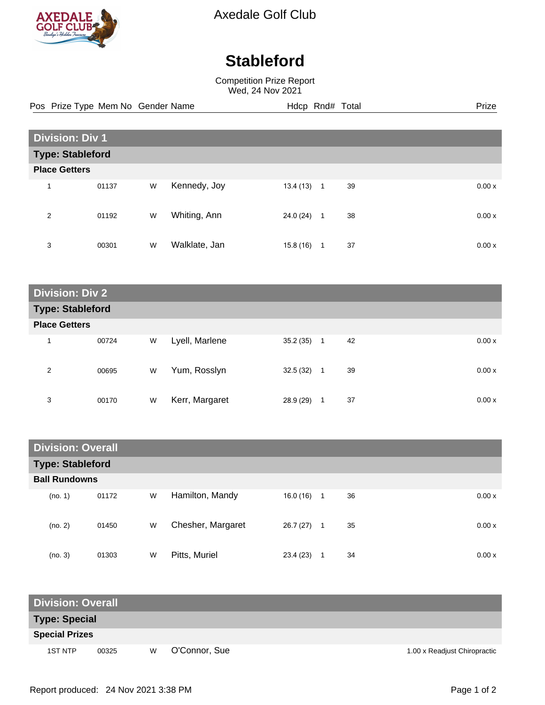

Axedale Golf Club

## **Stableford**

Competition Prize Report Wed, 24 Nov 2021

Pos Prize Type Mem No Gender Name **Hdcp Rnd# Total** Prize Prize

| <b>Division: Div 1</b>  |       |   |               |           |                |    |  |       |
|-------------------------|-------|---|---------------|-----------|----------------|----|--|-------|
| <b>Type: Stableford</b> |       |   |               |           |                |    |  |       |
| <b>Place Getters</b>    |       |   |               |           |                |    |  |       |
| 1                       | 01137 | W | Kennedy, Joy  | 13.4 (13) | $\overline{1}$ | 39 |  | 0.00x |
| 2                       | 01192 | W | Whiting, Ann  | 24.0 (24) | 1              | 38 |  | 0.00x |
| 3                       | 00301 | W | Walklate, Jan | 15.8 (16) | 1              | 37 |  | 0.00x |

| <b>Division: Div 2</b>  |       |   |                |           |         |       |  |  |
|-------------------------|-------|---|----------------|-----------|---------|-------|--|--|
| <b>Type: Stableford</b> |       |   |                |           |         |       |  |  |
| <b>Place Getters</b>    |       |   |                |           |         |       |  |  |
| 1                       | 00724 | W | Lyell, Marlene | 35.2(35)  | 42<br>1 | 0.00x |  |  |
| 2                       | 00695 | W | Yum, Rosslyn   | 32.5 (32) | 39<br>1 | 0.00x |  |  |
| 3                       | 00170 | W | Kerr, Margaret | 28.9 (29) | 37<br>1 | 0.00x |  |  |

| <b>Division: Overall</b> |       |   |                   |           |                |    |  |       |
|--------------------------|-------|---|-------------------|-----------|----------------|----|--|-------|
| <b>Type: Stableford</b>  |       |   |                   |           |                |    |  |       |
| <b>Ball Rundowns</b>     |       |   |                   |           |                |    |  |       |
| (no. 1)                  | 01172 | W | Hamilton, Mandy   | 16.0 (16) | $\overline{1}$ | 36 |  | 0.00x |
| (no. 2)                  | 01450 | W | Chesher, Margaret | 26.7 (27) | 1              | 35 |  | 0.00x |
| (no. 3)                  | 01303 | W | Pitts, Muriel     | 23.4(23)  |                | 34 |  | 0.00x |

| <b>Division: Overall</b> |       |   |               |                              |  |  |  |  |
|--------------------------|-------|---|---------------|------------------------------|--|--|--|--|
| <b>Type: Special</b>     |       |   |               |                              |  |  |  |  |
| <b>Special Prizes</b>    |       |   |               |                              |  |  |  |  |
| <b>1ST NTP</b>           | 00325 | W | O'Connor, Sue | 1.00 x Readjust Chiropractic |  |  |  |  |